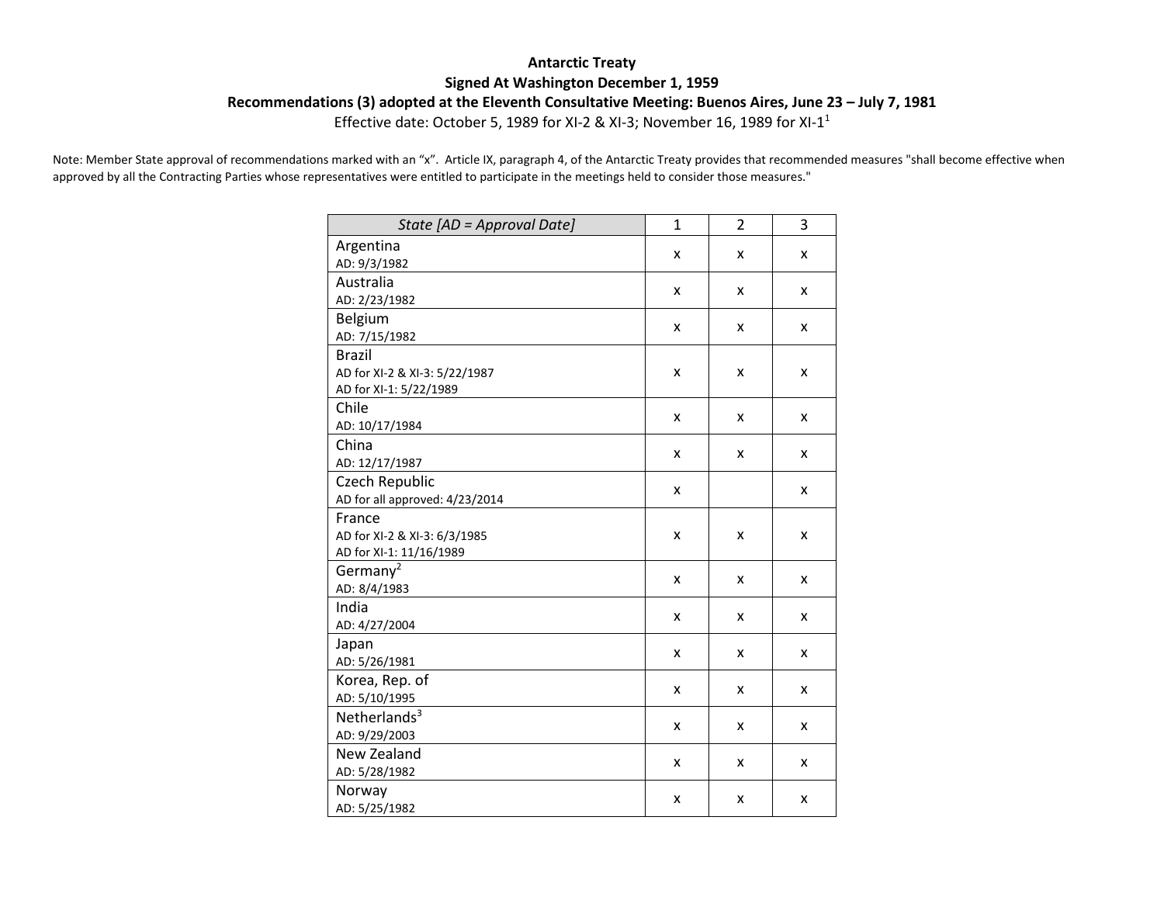## **Antarctic Treaty Signed At Washington December 1, 1959**

**Recommendations (3) adopted at the Eleventh Consultative Meeting: Buenos Aires, June 23 – July 7, 1981**

Effective date: October 5, 1989 for XI-2 & XI-3; November 16, 1989 for XI-11

Note: Member State approval of recommendations marked with an "x". Article IX, paragraph 4, of the Antarctic Treaty provides that recommended measures "shall become effective when approved by all the Contracting Parties whose representatives were entitled to participate in the meetings held to consider those measures."

| State [AD = Approval Date]     | $\mathbf{1}$ | $\overline{2}$ | 3 |
|--------------------------------|--------------|----------------|---|
| Argentina                      |              |                |   |
| AD: 9/3/1982                   | x            | x              | x |
| Australia                      |              |                |   |
| AD: 2/23/1982                  | x            | x              | x |
| Belgium                        |              |                |   |
| AD: 7/15/1982                  | x            | x              | X |
| <b>Brazil</b>                  |              |                |   |
| AD for XI-2 & XI-3: 5/22/1987  | X            | x              | x |
| AD for XI-1: 5/22/1989         |              |                |   |
| Chile                          | X            |                |   |
| AD: 10/17/1984                 |              | x              | x |
| China                          |              |                |   |
| AD: 12/17/1987                 | x            | x              | x |
| Czech Republic                 |              |                |   |
| AD for all approved: 4/23/2014 | X            |                | x |
| France                         |              |                |   |
| AD for XI-2 & XI-3: 6/3/1985   | x            | x              | x |
| AD for XI-1: 11/16/1989        |              |                |   |
| Germany <sup>2</sup>           |              |                |   |
| AD: 8/4/1983                   | x            | x              | x |
| India                          | X            | x              | x |
| AD: 4/27/2004                  |              |                |   |
| Japan                          |              |                |   |
| AD: 5/26/1981                  | x            | x              | x |
| Korea, Rep. of                 |              |                |   |
| AD: 5/10/1995                  | X            | x              | x |
| Netherlands $3$                |              |                |   |
| AD: 9/29/2003                  | x            | x              | x |
| New Zealand                    |              |                |   |
| AD: 5/28/1982                  | x            | x              | x |
| Norway                         |              |                |   |
| AD: 5/25/1982                  | X            | x              | x |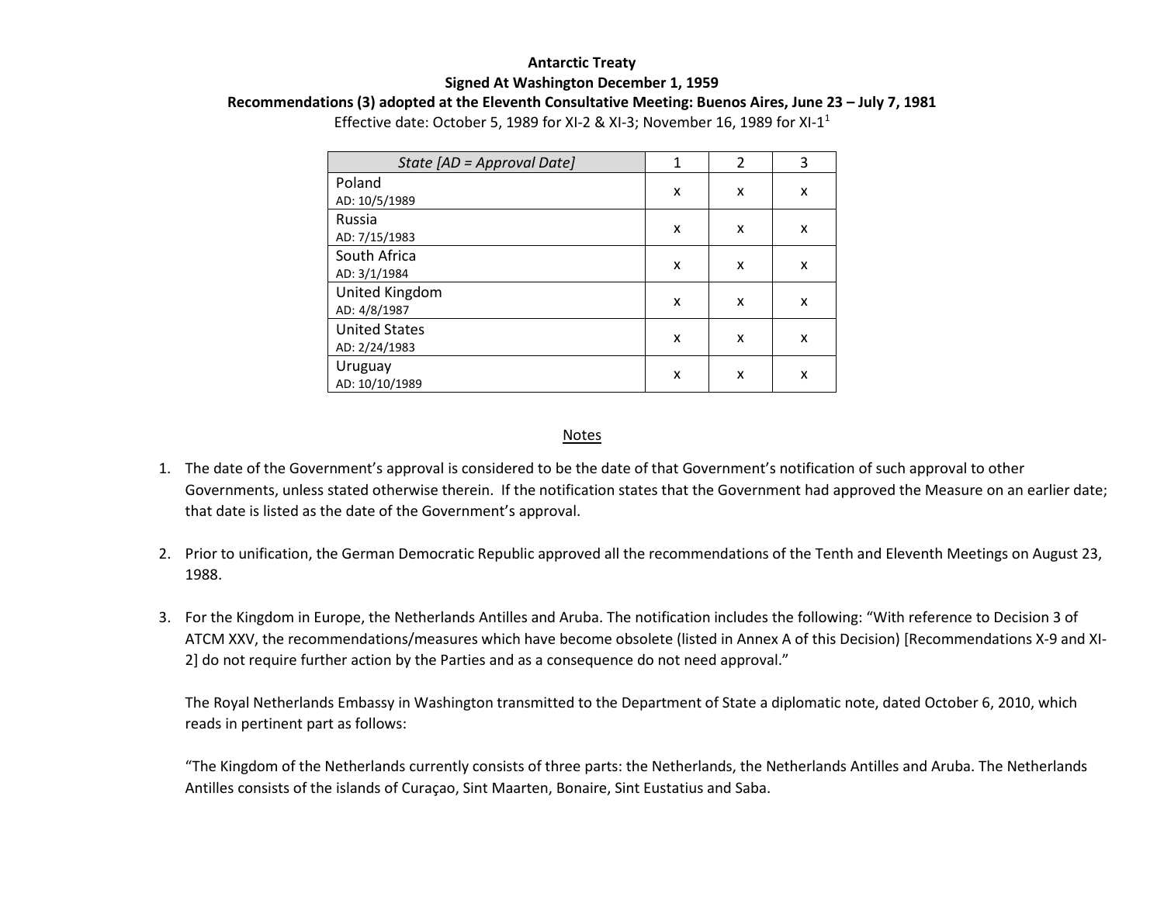## **Antarctic Treaty Signed At Washington December 1, 1959**

**Recommendations (3) adopted at the Eleventh Consultative Meeting: Buenos Aires, June 23 – July 7, 1981**

Effective date: October 5, 1989 for XI-2 & XI-3; November 16, 1989 for XI-11

| State [AD = Approval Date] | 1 | $\mathcal{P}$ | 3 |
|----------------------------|---|---------------|---|
| Poland                     | x | x             | X |
| AD: 10/5/1989              |   |               |   |
| Russia                     | X | x             | X |
| AD: 7/15/1983              |   |               |   |
| South Africa               | X | x             | X |
| AD: 3/1/1984               |   |               |   |
| United Kingdom             | X | X             | X |
| AD: 4/8/1987               |   |               |   |
| <b>United States</b>       | x | x             | X |
| AD: 2/24/1983              |   |               |   |
| Uruguay                    | x | x             | x |
| AD: 10/10/1989             |   |               |   |

## Notes

- 1. The date of the Government's approval is considered to be the date of that Government's notification of such approval to other Governments, unless stated otherwise therein. If the notification states that the Government had approved the Measure on an earlier date; that date is listed as the date of the Government's approval.
- 2. Prior to unification, the German Democratic Republic approved all the recommendations of the Tenth and Eleventh Meetings on August 23, 1988.
- 3. For the Kingdom in Europe, the Netherlands Antilles and Aruba. The notification includes the following: "With reference to Decision 3 of ATCM XXV, the recommendations/measures which have become obsolete (listed in Annex A of this Decision) [Recommendations X-9 and XI-2] do not require further action by the Parties and as a consequence do not need approval."

The Royal Netherlands Embassy in Washington transmitted to the Department of State a diplomatic note, dated October 6, 2010, which reads in pertinent part as follows:

"The Kingdom of the Netherlands currently consists of three parts: the Netherlands, the Netherlands Antilles and Aruba. The Netherlands Antilles consists of the islands of Curaçao, Sint Maarten, Bonaire, Sint Eustatius and Saba.